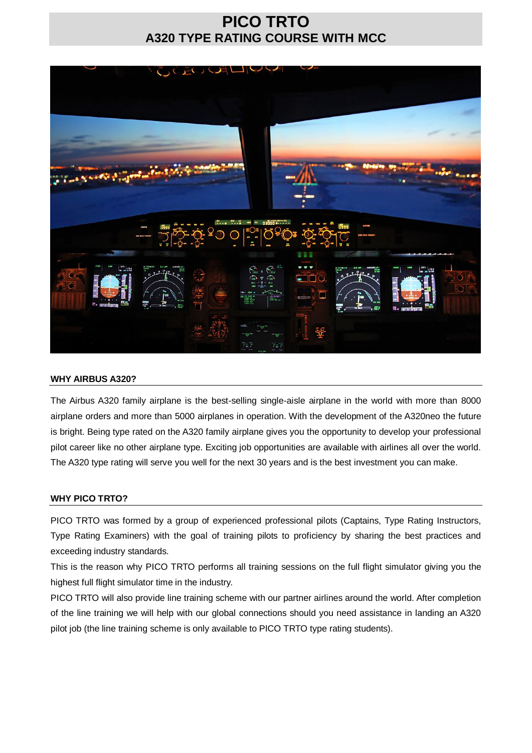## **PICO TRTO A320 TYPE RATING COURSE WITH MCC**



#### **WHY AIRBUS A320?**

The Airbus A320 family airplane is the best-selling single-aisle airplane in the world with more than 8000 airplane orders and more than 5000 airplanes in operation. With the development of the A320neo the future is bright. Being type rated on the A320 family airplane gives you the opportunity to develop your professional pilot career like no other airplane type. Exciting job opportunities are available with airlines all over the world. The A320 type rating will serve you well for the next 30 years and is the best investment you can make.

## **WHY PICO TRTO?**

PICO TRTO was formed by a group of experienced professional pilots (Captains, Type Rating Instructors, Type Rating Examiners) with the goal of training pilots to proficiency by sharing the best practices and exceeding industry standards.

This is the reason why PICO TRTO performs all training sessions on the full flight simulator giving you the highest full flight simulator time in the industry.

PICO TRTO will also provide line training scheme with our partner airlines around the world. After completion of the line training we will help with our global connections should you need assistance in landing an A320 pilot job (the line training scheme is only available to PICO TRTO type rating students).